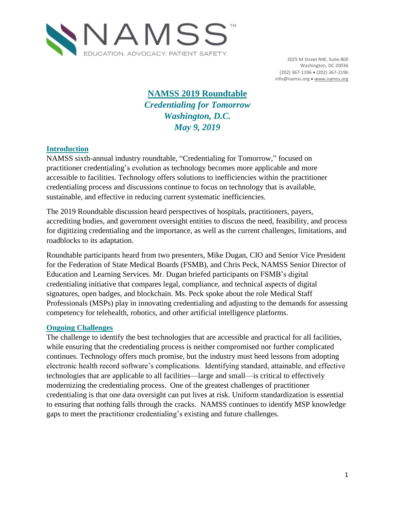

2025 M Street NW, Suite 800 Washington, DC 20036 (202) 367-1196 (202) 367-2196 info@namss.org • [www.namss.org](http://www.namss.org/)

# **NAMSS 2019 Roundtable** *Credentialing for Tomorrow Washington, D.C. May 9, 2019*

#### **Introduction**

NAMSS sixth-annual industry roundtable, "Credentialing for Tomorrow," focused on practitioner credentialing's evolution as technology becomes more applicable and more accessible to facilities. Technology offers solutions to inefficiencies within the practitioner credentialing process and discussions continue to focus on technology that is available, sustainable, and effective in reducing current systematic inefficiencies.

The 2019 Roundtable discussion heard perspectives of hospitals, practitioners, payers, accrediting bodies, and government oversight entities to discuss the need, feasibility, and process for digitizing credentialing and the importance, as well as the current challenges, limitations, and roadblocks to its adaptation.

Roundtable participants heard from two presenters, Mike Dugan, CIO and Senior Vice President for the Federation of State Medical Boards (FSMB), and Chris Peck, NAMSS Senior Director of Education and Learning Services. Mr. Dugan briefed participants on FSMB's digital credentialing initiative that compares legal, compliance, and technical aspects of digital signatures, open badges, and blockchain. Ms. Peck spoke about the role Medical Staff Professionals (MSPs) play in innovating credentialing and adjusting to the demands for assessing competency for telehealth, robotics, and other artificial intelligence platforms.

#### **Ongoing Challenges**

The challenge to identify the best technologies that are accessible and practical for all facilities, while ensuring that the credentialing process is neither compromised nor further complicated continues. Technology offers much promise, but the industry must heed lessons from adopting electronic health record software's complications. Identifying standard, attainable, and effective technologies that are applicable to all facilities—large and small—is critical to effectively modernizing the credentialing process. One of the greatest challenges of practitioner credentialing is that one data oversight can put lives at risk. Uniform standardization is essential to ensuring that nothing falls through the cracks. NAMSS continues to identify MSP knowledge gaps to meet the practitioner credentialing's existing and future challenges.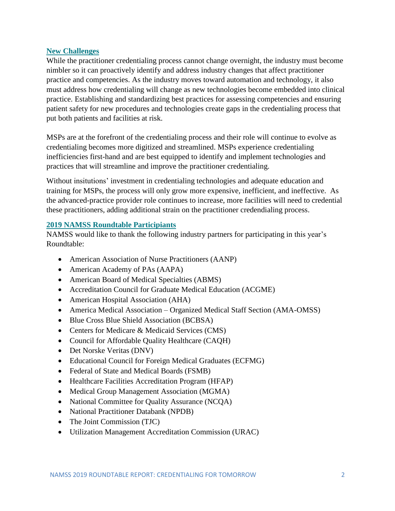#### **New Challenges**

While the practitioner credentialing process cannot change overnight, the industry must become nimbler so it can proactively identify and address industry changes that affect practitioner practice and competencies. As the industry moves toward automation and technology, it also must address how credentialing will change as new technologies become embedded into clinical practice. Establishing and standardizing best practices for assessing competencies and ensuring patient safety for new procedures and technologies create gaps in the credentialing process that put both patients and facilities at risk.

MSPs are at the forefront of the credentialing process and their role will continue to evolve as credentialing becomes more digitized and streamlined. MSPs experience credentialing inefficiencies first-hand and are best equipped to identify and implement technologies and practices that will streamline and improve the practitioner credentialing.

Without insitutions' investment in credentialing technologies and adequate education and training for MSPs, the process will only grow more expensive, inefficient, and ineffective. As the advanced-practice provider role continues to increase, more facilities will need to credential these practitioners, adding additional strain on the practitioner credendialing process.

#### **2019 NAMSS Roundtable Participiants**

NAMSS would like to thank the following industry partners for participating in this year's Roundtable:

- American Association of Nurse Practitioners (AANP)
- American Academy of PAs (AAPA)
- American Board of Medical Specialties (ABMS)
- Accreditation Council for Graduate Medical Education (ACGME)
- American Hospital Association (AHA)
- America Medical Association Organized Medical Staff Section (AMA-OMSS)
- Blue Cross Blue Shield Association (BCBSA)
- Centers for Medicare & Medicaid Services (CMS)
- Council for Affordable Quality Healthcare (CAQH)
- Det Norske Veritas (DNV)
- Educational Council for Foreign Medical Graduates (ECFMG)
- Federal of State and Medical Boards (FSMB)
- Healthcare Facilities Accreditation Program (HFAP)
- Medical Group Management Association (MGMA)
- National Committee for Quality Assurance (NCQA)
- National Practitioner Databank (NPDB)
- The Joint Commission (TJC)
- Utilization Management Accreditation Commission (URAC)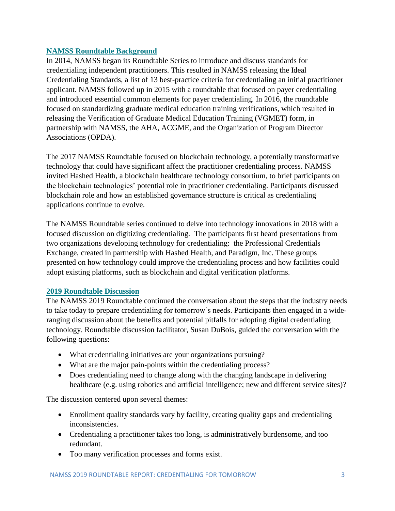### **NAMSS Roundtable Background**

In 2014, NAMSS began its Roundtable Series to introduce and discuss standards for credentialing independent practitioners. This resulted in NAMSS releasing the Ideal Credentialing Standards, a list of 13 best-practice criteria for credentialing an initial practitioner applicant. NAMSS followed up in 2015 with a roundtable that focused on payer credentialing and introduced essential common elements for payer credentialing. In 2016, the roundtable focused on standardizing graduate medical education training verifications, which resulted in releasing the Verification of Graduate Medical Education Training (VGMET) form, in partnership with NAMSS, the AHA, ACGME, and the Organization of Program Director Associations (OPDA).

The 2017 NAMSS Roundtable focused on blockchain technology, a potentially transformative technology that could have significant affect the practitioner credentialing process. NAMSS invited Hashed Health, a blockchain healthcare technology consortium, to brief participants on the blockchain technologies' potential role in practitioner credentialing. Participants discussed blockchain role and how an established governance structure is critical as credentialing applications continue to evolve.

The NAMSS Roundtable series continued to delve into technology innovations in 2018 with a focused discussion on digitizing credentialing. The participants first heard presentations from two organizations developing technology for credentialing: the Professional Credentials Exchange, created in partnership with Hashed Health, and Paradigm, Inc. These groups presented on how technology could improve the credentialing process and how facilities could adopt existing platforms, such as blockchain and digital verification platforms.

#### **2019 Roundtable Discussion**

The NAMSS 2019 Roundtable continued the conversation about the steps that the industry needs to take today to prepare credentialing for tomorrow's needs. Participants then engaged in a wideranging discussion about the benefits and potential pitfalls for adopting digital credentialing technology. Roundtable discussion facilitator, Susan DuBois, guided the conversation with the following questions:

- What credentialing initiatives are your organizations pursuing?
- What are the major pain-points within the credentialing process?
- Does credentialing need to change along with the changing landscape in delivering healthcare (e.g. using robotics and artificial intelligence; new and different service sites)?

The discussion centered upon several themes:

- Enrollment quality standards vary by facility, creating quality gaps and credentialing inconsistencies.
- Credentialing a practitioner takes too long, is administratively burdensome, and too redundant.
- Too many verification processes and forms exist.